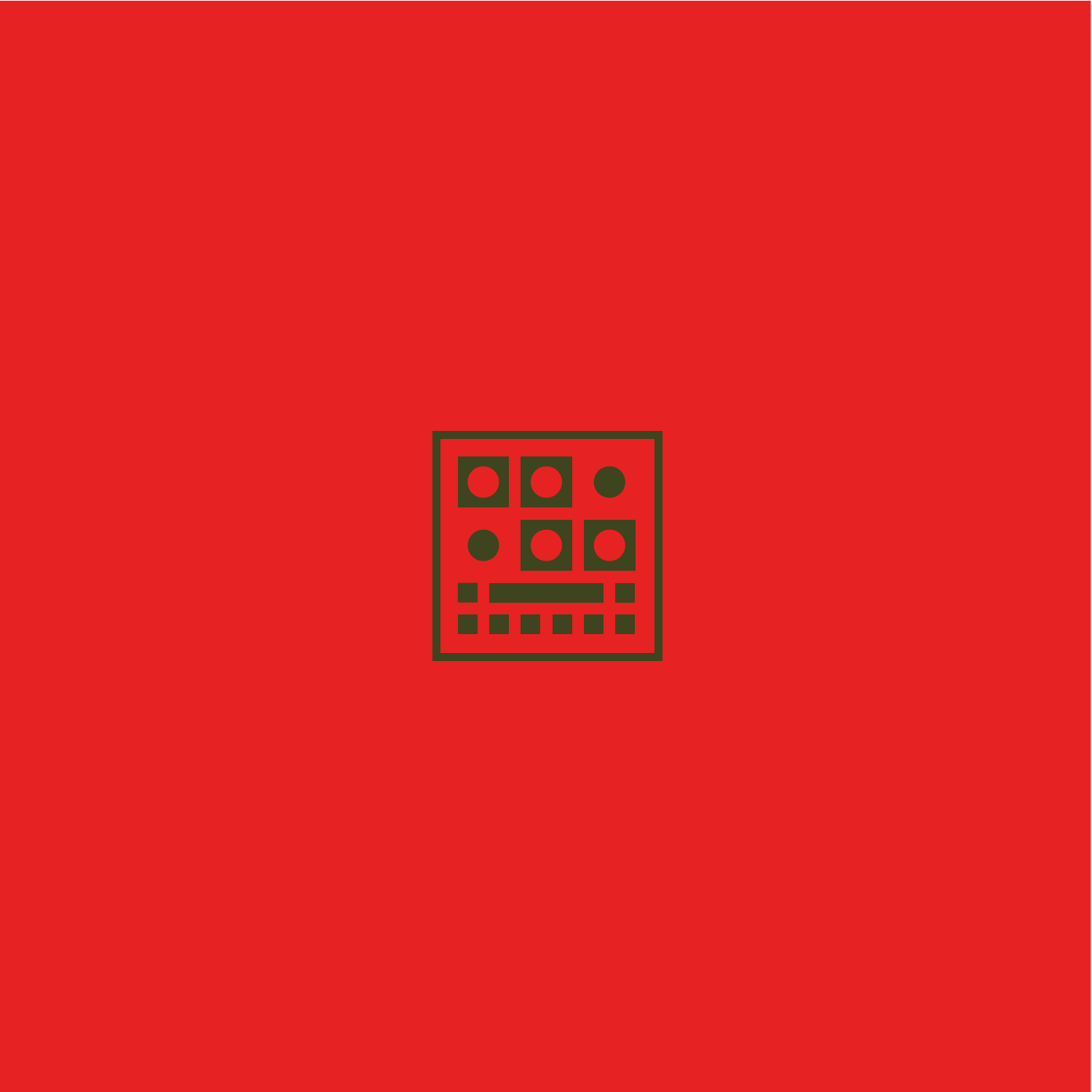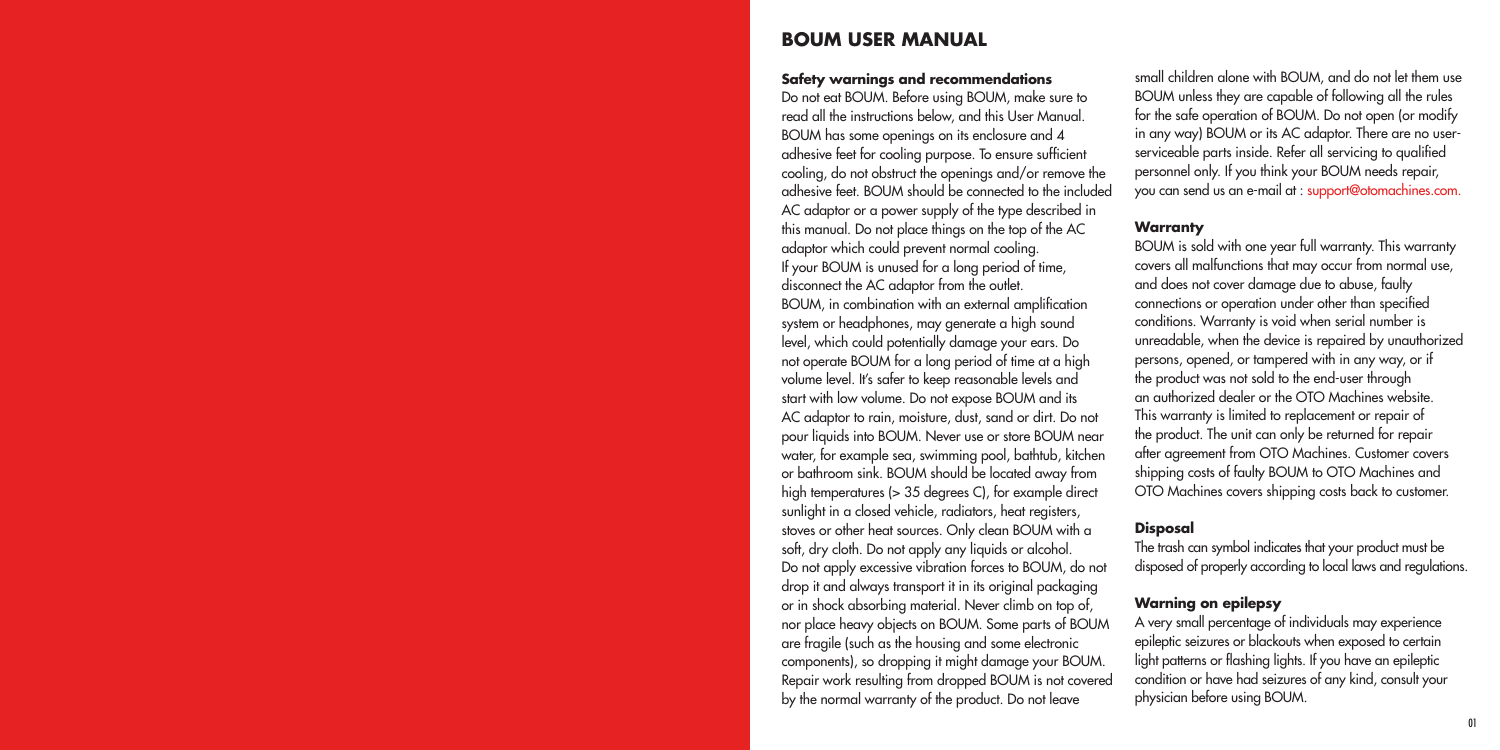## **BOUM USER MANUAL**

**Safety warnings and recommendations**

Do not eat BOUM. Before using BOUM, make sure to read all the instructions below, and this User Manual. BOUM has some openings on its enclosure and 4 adhesive feet for cooling purpose. To ensure sufficient cooling, do not obstruct the openings and/or remove the adhesive feet. BOUM should be connected to the included AC adaptor or a power supply of the type described in this manual. Do not place things on the top of the AC adaptor which could prevent normal cooling. If your BOUM is unused for a long period of time, disconnect the AC adaptor from the outlet. BOUM, in combination with an external amplification system or headphones, may generate a high sound level, which could potentially damage your ears. Do not operate BOUM for a long period of time at a high volume level. It's safer to keep reasonable levels and start with low volume. Do not expose BOUM and its AC adaptor to rain, moisture, dust, sand or dirt. Do not pour liquids into BOUM. Never use or store BOUM near water, for example sea, swimming pool, bathtub, kitchen or bathroom sink. BOUM should be located away from high temperatures (> 35 degrees C), for example direct sunlight in a closed vehicle, radiators, heat registers, stoves or other heat sources. Only clean BOUM with a soft, dry cloth. Do not apply any liquids or alcohol. Do not apply excessive vibration forces to BOUM, do not drop it and always transport it in its original packaging or in shock absorbing material. Never climb on top of, nor place heavy objects on BOUM. Some parts of BOUM are fragile (such as the housing and some electronic components), so dropping it might damage your BOUM. Repair work resulting from dropped BOUM is not covered by the normal warranty of the product. Do not leave

small children alone with BOUM, and do not let them use BOUM unless they are capable of following all the rules for the safe operation of BOUM. Do not open (or modify in any way) BOUM or its AC adaptor. There are no userserviceable parts inside. Refer all servicing to qualifed personnel only. If you think your BOUM needs repair, you can send us an e-mail at : support@otomachines.com.

#### **Warranty**

BOUM is sold with one year full warranty. This warranty covers all malfunctions that may occur from normal use, and does not cover damage due to abuse, faulty connections or operation under other than specifed conditions. Warranty is void when serial number is unreadable, when the device is repaired by unauthorized persons, opened, or tampered with in any way, or if the product was not sold to the end-user through an authorized dealer or the OTO Machines website. This warranty is limited to replacement or repair of the product. The unit can only be returned for repair after agreement from OTO Machines. Customer covers shipping costs of faulty BOUM to OTO Machines and OTO Machines covers shipping costs back to customer.

#### **Disposal**

The trash can symbol indicates that your product must be disposed of properly according to local laws and regulations.

#### **Warning on epilepsy**

A very small percentage of individuals may experience epileptic seizures or blackouts when exposed to certain light patterns or flashing lights. If you have an epileptic condition or have had seizures of any kind, consult your physician before using BOUM.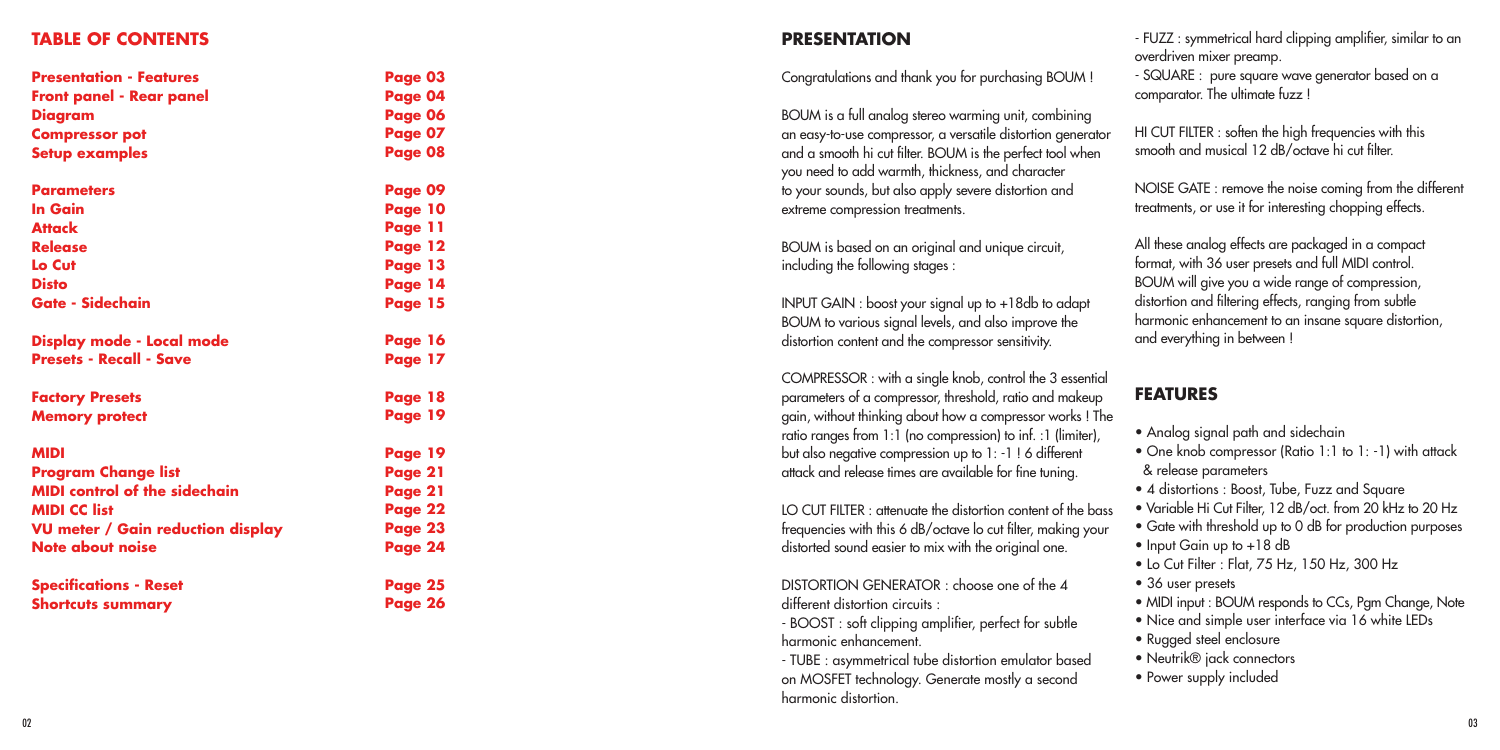## **TABLE OF CONTENTS**

| <b>Presentation - Features</b>       | Page 03 |
|--------------------------------------|---------|
| Front panel - Rear panel             | Page 04 |
| <b>Diagram</b>                       | Page 06 |
| <b>Compressor pot</b>                | Page 07 |
| <b>Setup examples</b>                | Page 08 |
| <b>Parameters</b>                    | Page 09 |
| <b>In Gain</b>                       | Page 10 |
| <b>Attack</b>                        | Page 11 |
| <b>Release</b>                       | Page 12 |
| Lo Cut                               | Page 13 |
| <b>Disto</b>                         | Page 14 |
| <b>Gate - Sidechain</b>              | Page 15 |
| Display mode - Local mode            | Page 16 |
| <b>Presets - Recall - Save</b>       | Page 17 |
| <b>Factory Presets</b>               | Page 18 |
| <b>Memory protect</b>                | Page 19 |
| <b>MIDI</b>                          | Page 19 |
| <b>Program Change list</b>           | Page 21 |
| <b>MIDI control of the sidechain</b> | Page 21 |
| <b>MIDI CC list</b>                  | Page 22 |
| VU meter / Gain reduction display    | Page 23 |
| <b>Note about noise</b>              | Page 24 |
| <b>Specifications - Reset</b>        | Page 25 |
| <b>Shortcuts summary</b>             | Page 26 |
|                                      |         |

## **PRESENTATION**

Congratulations and thank you for purchasing BOUM !

BOUM is a full analog stereo warming unit, combining an easy-to-use compressor, a versatile distortion generator and a smooth hi cut filter. BOUM is the perfect tool when you need to add warmth, thickness, and character to your sounds, but also apply severe distortion and extreme compression treatments.

BOUM is based on an original and unique circuit, including the following stages :

INPUT GAIN : boost your signal up to +18db to adapt BOUM to various signal levels, and also improve the distortion content and the compressor sensitivity.

COMPRESSOR : with a single knob, control the 3 essential parameters of a compressor, threshold, ratio and makeup gain, without thinking about how a compressor works ! The ratio ranges from 1:1 (no compression) to inf. :1 (limiter), but also negative compression up to 1: -1 ! 6 different attack and release times are available for fne tuning.

LO CUT FILTER : attenuate the distortion content of the bass frequencies with this 6 dB/octave lo cut flter, making your distorted sound easier to mix with the original one.

DISTORTION GENERATOR : choose one of the 4 different distortion circuits :

- BOOST : soft clipping amplifier, perfect for subtle harmonic enhancement.

- TUBE : asymmetrical tube distortion emulator based on MOSFET technology. Generate mostly a second harmonic distortion.

- FUZZ : symmetrical hard clipping ampli fer, similar to an overdriven mixer preamp.

- SQUARE : pure square wave generator based on a comparator. The ultimate fuzz !

HI CUT FILTER : soften the high frequencies with this smooth and musical 12 dB/octave hi cut flter.

NOISE GATE : remove the noise coming from the different treatments, or use it for interesting chopping effects.

All these analog effects are packaged in a compact format, with 36 user presets and full MIDI control. BOUM will give you a wide range of compression, distortion and fltering effects, ranging from subtle harmonic enhancement to an insane square distortion, and everything in between !

## **FEATURES**

- Analog signal path and sidechain
- One knob compressor (Ratio 1:1 to 1: -1) with attack & release parameters
- 4 distortions : Boost, Tube, Fuzz and Square
- Variable Hi Cut Filter, 12 dB/oct. from 20 kHz to 20 Hz
- Gate with threshold up to 0 dB for production purposes
- Input Gain up to +18 dB
- Lo Cut Filter : Flat, 75 Hz, 150 Hz, 300 Hz
- 36 user presets
- MIDI input : BOUM responds to CCs, Pgm Change, Note
- Nice and simple user interface via 16 white LEDs
- Rugged steel enclosure
- Neutrik® jack connectors
- Power supply included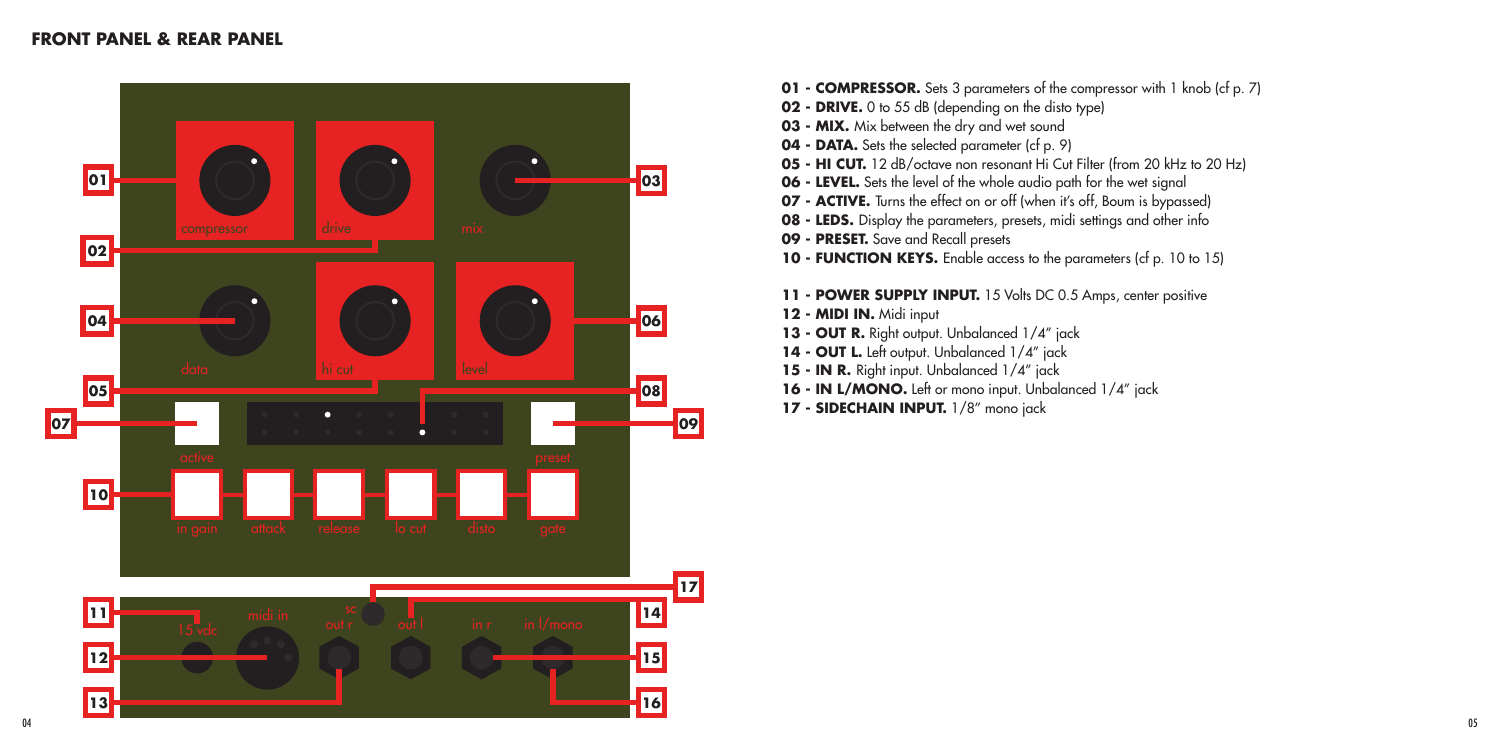

- **01 COMPRESSOR.** Sets 3 parameters of the compressor with 1 knob (cf p. 7)
- **02 DRIVE.** 0 to 55 dB (depending on the disto type)
- **03 MIX.** Mix between the dry and wet sound
- **04 DATA.** Sets the selected parameter (cf p. 9)
- **05 HI CUT.** 12 dB/octave non resonant Hi Cut Filter (from 20 kHz to 20 Hz)
- **06 LEVEL.** Sets the level of the whole audio path for the wet signal
- **07 ACTIVE.** Turns the effect on or off (when it's off, Boum is bypassed)
- **08 LEDS.** Display the parameters, presets, midi settings and other info
- **09 PRESET.** Save and Recall presets
- **10 FUNCTION KEYS.** Enable access to the parameters (cf p. 10 to 15)
- **11 POWER SUPPLY INPUT.** 15 Volts DC 0.5 Amps, center positive
- **12 MIDI IN.** Midi input
- **13 OUT R.** Right output. Unbalanced 1/4" jack
- **14 OUT L.** Left output. Unbalanced 1/4" jack
- **15 IN R.** Right input. Unbalanced 1/4" jack
- **16 IN L/MONO.** Left or mono input. Unbalanced 1/4" jack
- **17 SIDECHAIN INPUT.** 1/8'' mono jack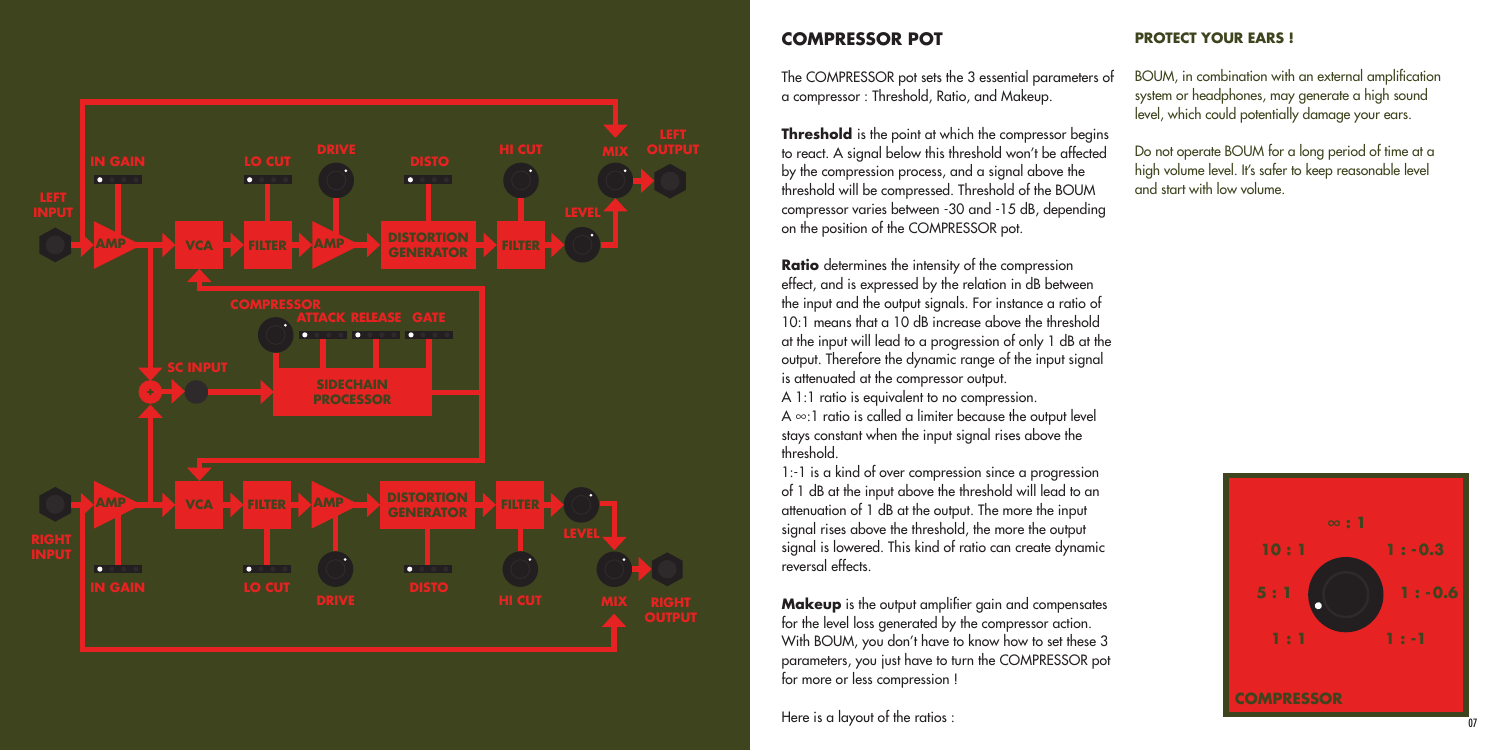

## **COMPRESSOR POT**

The COMPRESSOR pot sets the 3 essential parameters of a compressor : Threshold, Ratio, and Makeup.

**Threshold** is the point at which the compressor begins to react. A signal below this threshold won't be affected by the compression process, and a signal above the threshold will be compressed. Threshold of the BOUM compressor varies between -30 and -15 dB, depending on the position of the COMPRESSOR pot.

**Ratio** determines the intensity of the compression effect, and is expressed by the relation in dB between the input and the output signals. For instance a ratio of 10:1 means that a 10 dB increase above the threshold at the input will lead to a progression of only 1 dB at the output. Therefore the dynamic range of the input signal is attenuated at the compressor output.

A 1:1 ratio is equivalent to no compression. A ∞:1 ratio is called a limiter because the output level stays constant when the input signal rises above the threshold.

1:-1 is a kind of over compression since a progression of 1 dB at the input above the threshold will lead to an attenuation of 1 dB at the output. The more the input signal rises above the threshold, the more the output signal is lowered. This kind of ratio can create dynamic reversal effects.

**Makeup** is the output amplifier gain and compensates for the level loss generated by the compressor action. With BOUM, you don't have to know how to set these 3 parameters, you just have to turn the COMPRESSOR pot for more or less compression !

Here is a layout of the ratios :

#### **PROTECT YOUR EARS !**

BOUM, in combination with an external amplification system or headphones, may generate a high sound level, which could potentially damage your ears.

Do not operate BOUM for a long period of time at a high volume level. It's safer to keep reasonable level and start with low volume.

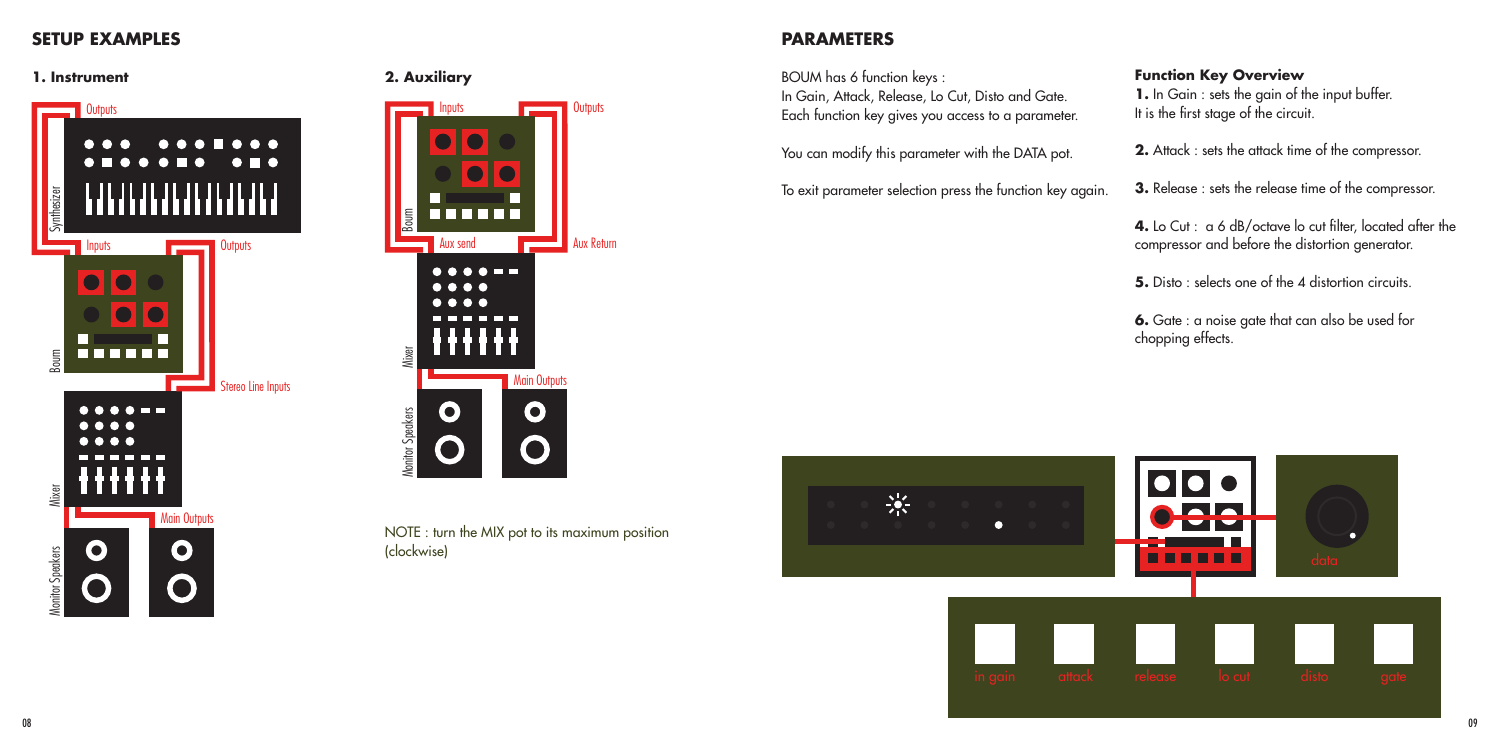## **SETUP EXAMPLES**



**2. Auxiliary**



NOTE : turn the MIX pot to its maximum position (clockwise)

## **PARAMETERS**

In Gain, Attack, Release, Lo Cut, Disto and Gate. Each function key gives you access to a parameter.

You can modify this parameter with the DATA pot.

To exit parameter selection press the function key again.

**1.** In Gain : sets the gain of the input buffer. It is the frst stage of the circuit.

**2.** Attack : sets the attack time of the compressor.

**3.** Release : sets the release time of the compressor.

**4.** Lo Cut: a 6 dB/octave lo cut filter, located after the compressor and before the distortion generator.

**5.** Disto: selects one of the 4 distortion circuits.

**6.** Gate : a noise gate that can also be used for chopping effects.

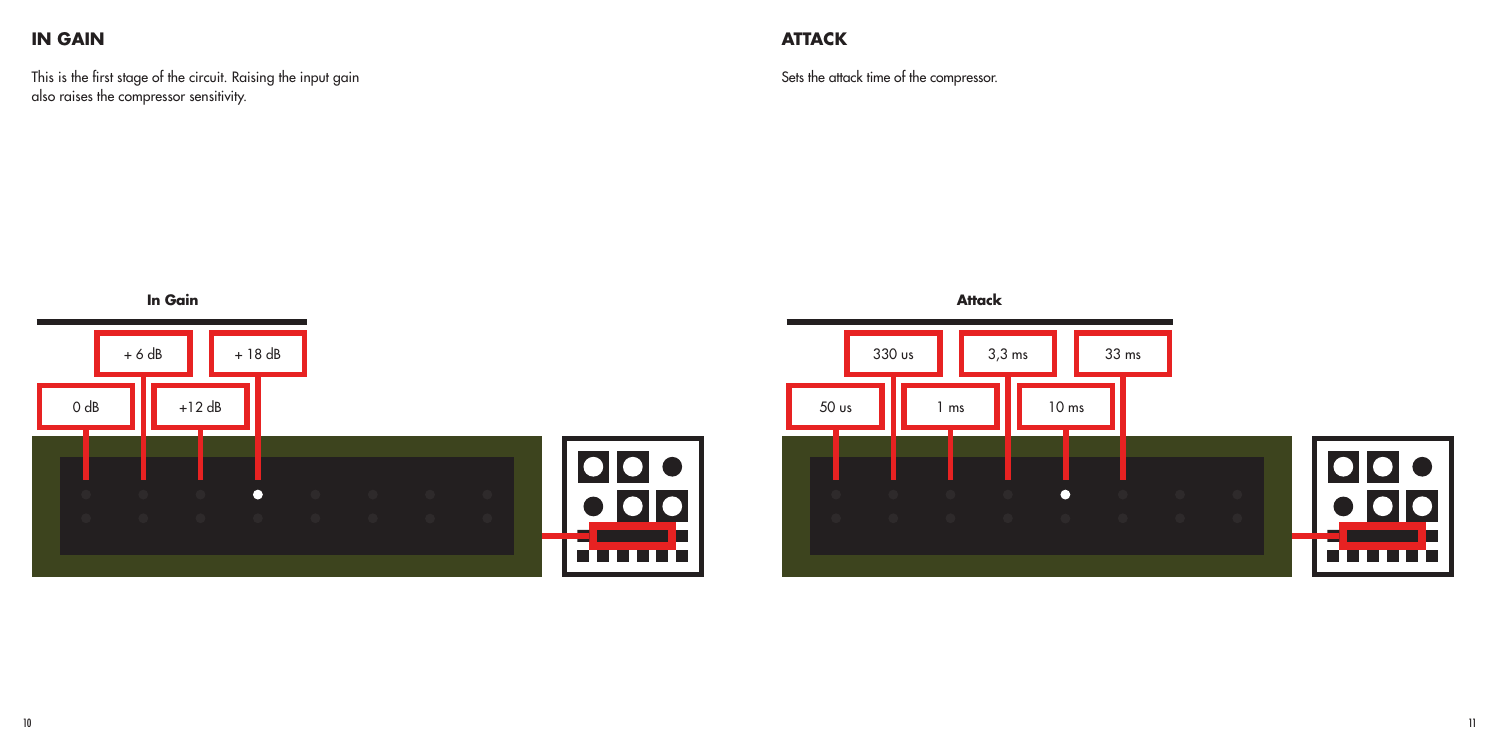# **IN GAIN**

This is the first stage of the circuit. Raising the input gain also raises the compressor sensitivity.

## **ATTACK**

Sets the attack time of the compressor.



a u u u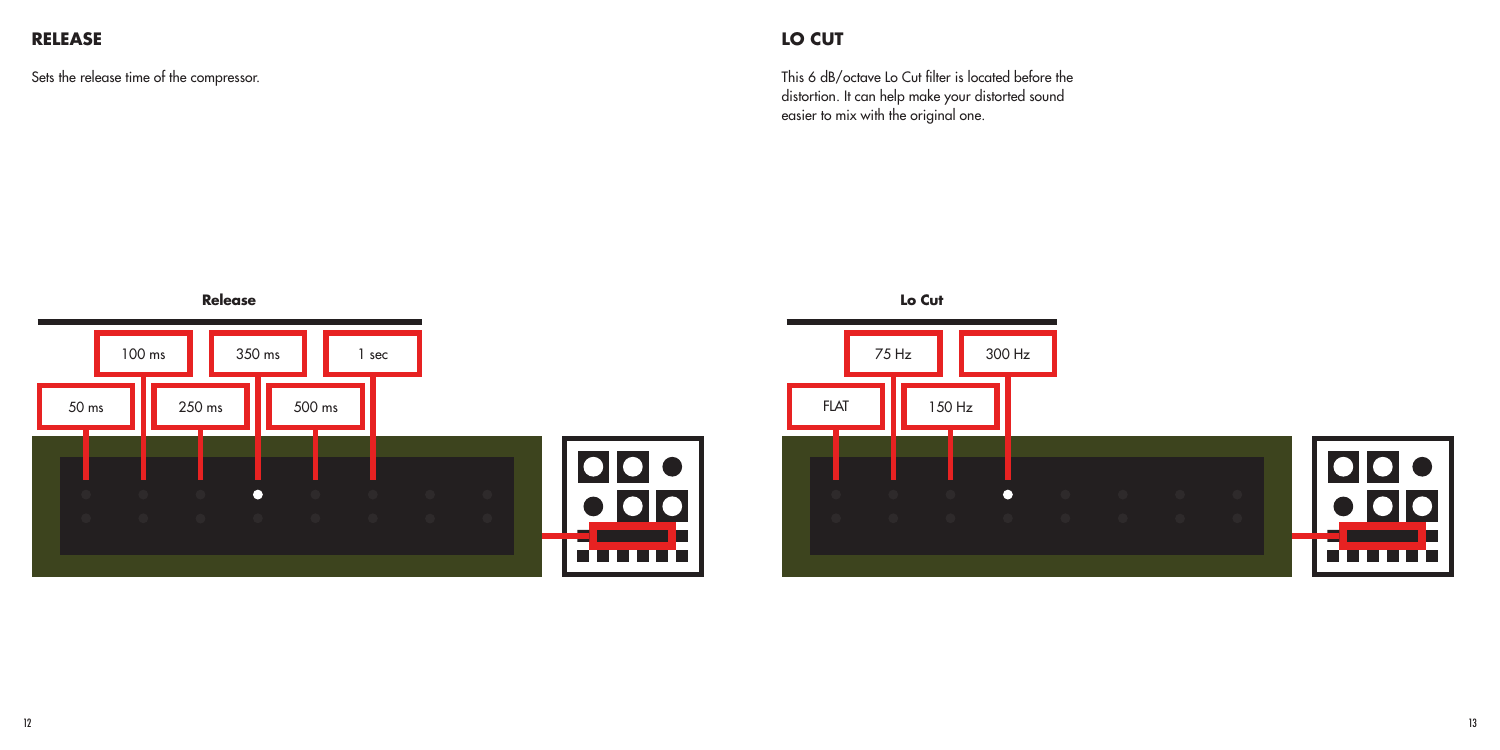## **RELEASE**

Sets the release time of the compressor.

## **LO CUT**

This 6 dB/octave Lo Cut filter is located before the distortion. It can help make your distorted sound easier to mix with the original one.

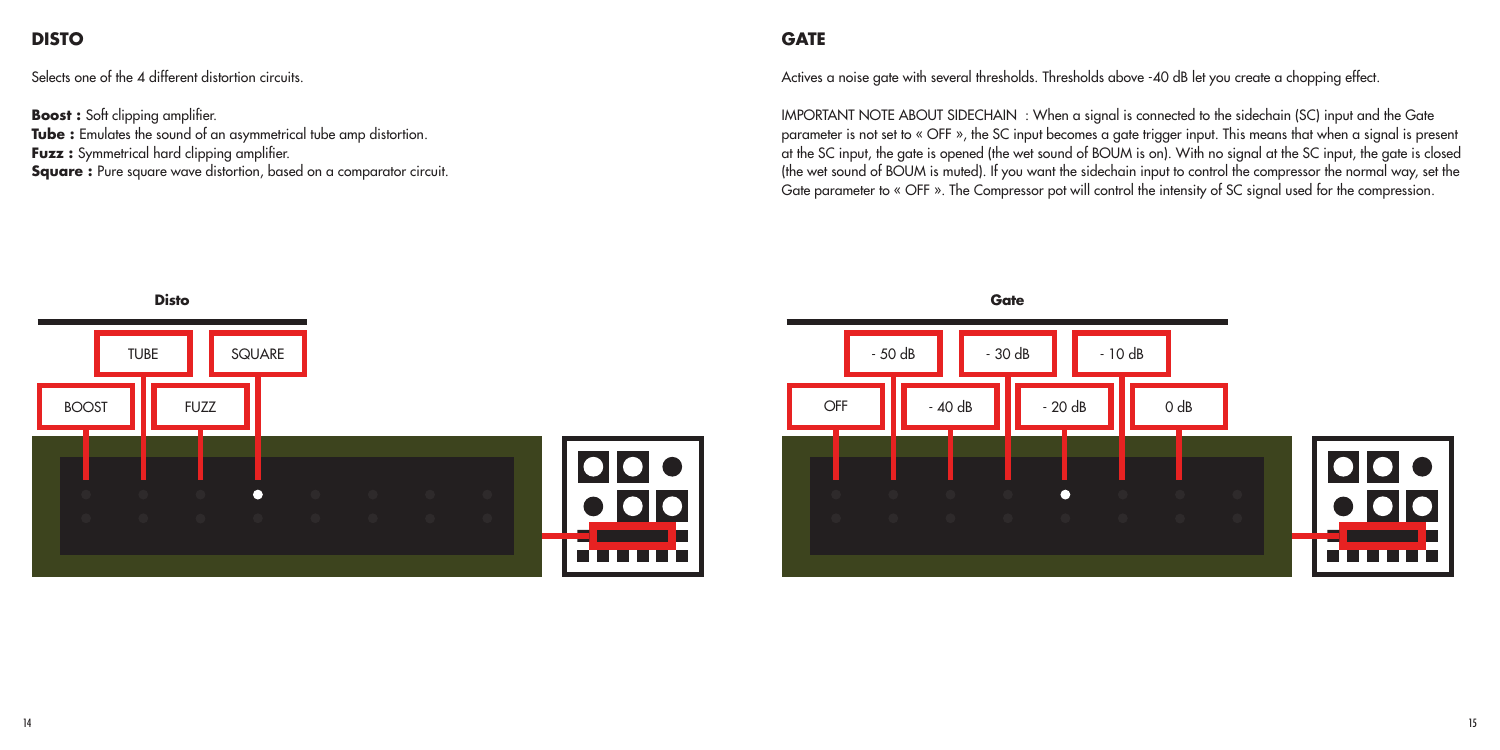## **DISTO**

Selects one of the 4 different distortion circuits.

**Boost** : Soft clipping amplifier. **Tube :** Emulates the sound of an asymmetrical tube amp distortion. **Fuzz** : Symmetrical hard clipping amplifier. **Square** : Pure square wave distortion, based on a comparator circuit.

## **GATE**

Actives a noise gate with several thresholds. Thresholds above -40 dB let you create a chopping effect.

IMPORTANT NOTE ABOUT SIDECHAIN : When a signal is connected to the sidechain (SC) input and the Gate parameter is not set to « OFF », the SC input becomes a gate trigger input. This means that when a signal is present at the SC input, the gate is opened (the wet sound of BOUM is on). With no signal at the SC input, the gate is closed (the wet sound of BOUM is muted). If you want the sidechain input to control the compressor the normal way, set the Gate parameter to « OFF ». The Compressor pot will control the intensity of SC signal used for the compression.

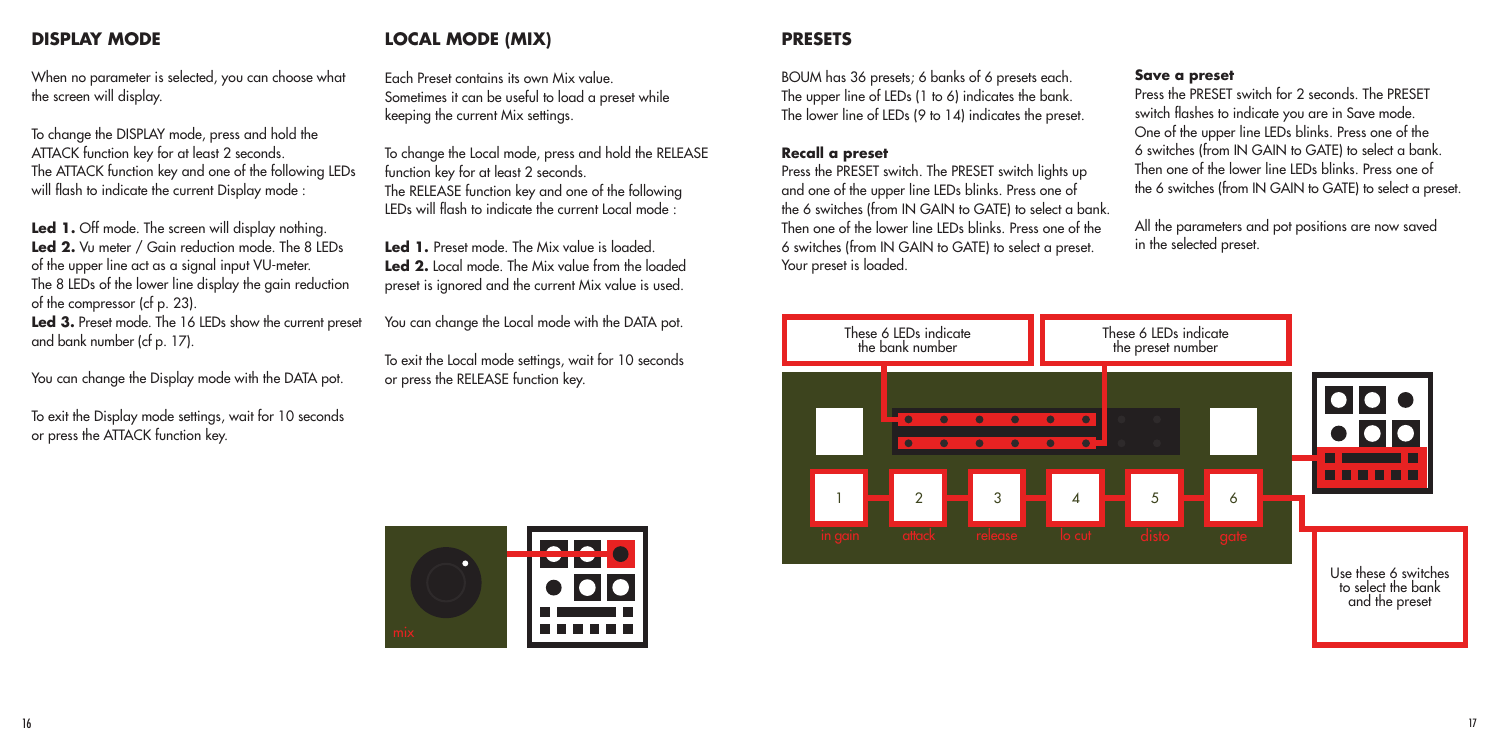## **DISPLAY MODE**

When no parameter is selected, you can choose what the screen will display.

To change the DISPLAY mode, press and hold the ATTACK function key for at least 2 seconds. The ATTACK function key and one of the following LEDs will flash to indicate the current Display mode :

Led 1. Off mode. The screen will display nothing. Led 2. Vu meter / Gain reduction mode. The 8 LEDs of the upper line act as a signal input VU-meter. The 8 LEDs of the lower line display the gain reduction of the compressor (cf p. 23).

Led 3. Preset mode. The 16 LEDs show the current preset and bank number (cf p. 17).

You can change the Display mode with the DATA pot.

To exit the Display mode settings, wait for 10 seconds or press the ATTACK function key.

## **LOCAL MODE (MIX)**

Each Preset contains its own Mix value. Sometimes it can be useful to load a preset while keeping the current Mix settings.

To change the Local mode, press and hold the RELEASE function key for at least 2 seconds. The RELEASE function key and one of the following LEDs will flash to indicate the current Local mode :

Led 1. Preset mode. The Mix value is loaded. **Led 2.** Local mode. The Mix value from the loaded preset is ignored and the current Mix value is used.

You can change the Local mode with the DATA pot.

To exit the Local mode settings, wait for 10 seconds or press the RELEASE function key.



## **PRESETS**

BOUM has 36 presets; 6 banks of 6 presets each. The upper line of LEDs (1 to 6) indicates the bank. The lower line of LEDs (9 to 14) indicates the preset.

#### **Recall a preset**

Press the PRESET switch. The PRESET switch lights up and one of the upper line LEDs blinks. Press one of the 6 switches (from IN GAIN to GATE) to select a bank. Then one of the lower line LEDs blinks. Press one of the 6 switches (from IN GAIN to GATE) to select a preset. Your preset is loaded.

#### **Save a preset**

Press the PRESET switch for 2 seconds. The PRESET switch flashes to indicate you are in Save mode. One of the upper line LEDs blinks. Press one of the 6 switches (from IN GAIN to GATE) to select a bank. Then one of the lower line LEDs blinks. Press one of the 6 switches (from IN GAIN to GATE) to select a preset.

All the parameters and pot positions are now saved in the selected preset.

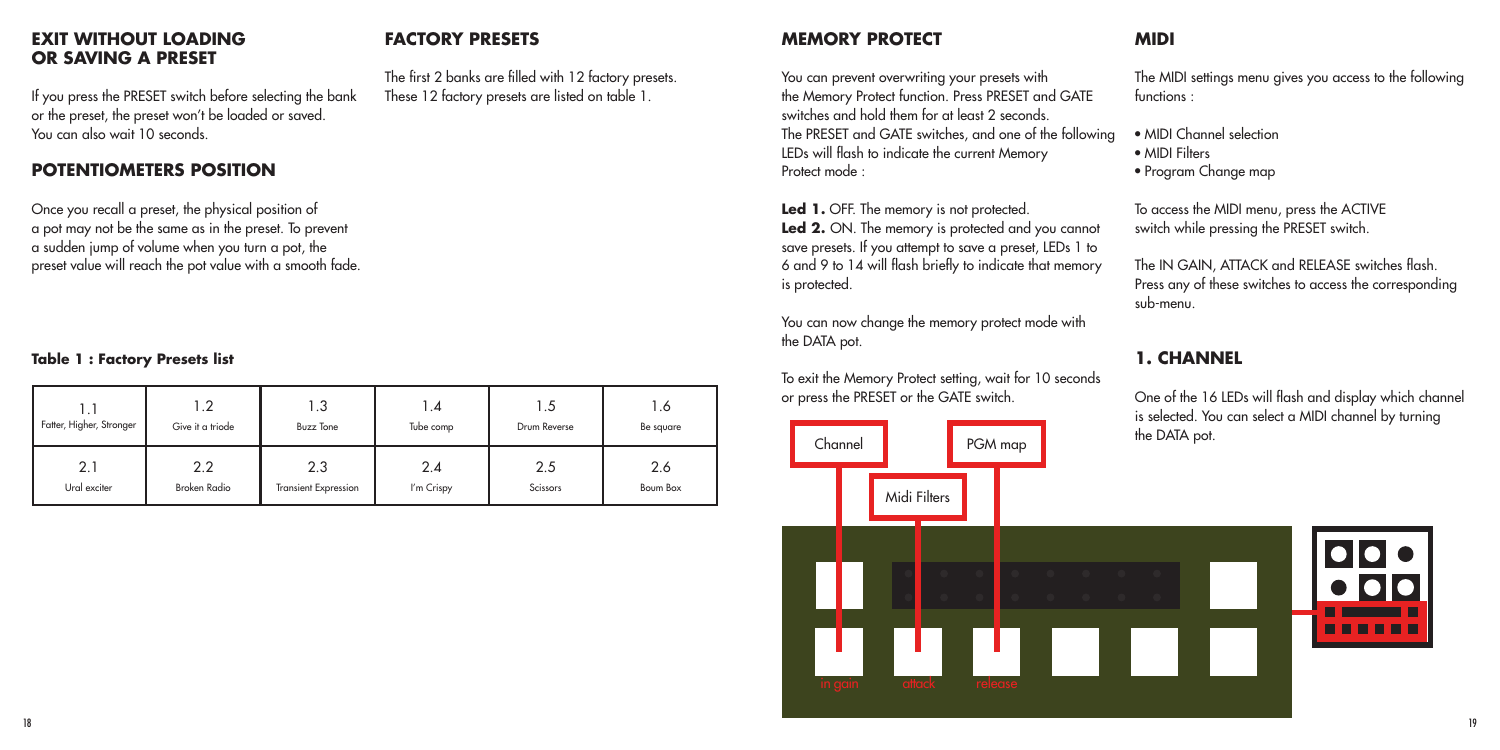## **EXIT WITHOUT LOADING OR SAVING A PRESET**

If you press the PRESET switch before selecting the bank or the preset, the preset won't be loaded or saved. You can also wait 10 seconds.

## **POTENTIOMETERS POSITION**

Once you recall a preset, the physical position of a pot may not be the same as in the preset. To prevent a sudden jump of volume when you turn a pot, the preset value will reach the pot value with a smooth fade.

#### **Table 1 : Factory Presets list**

| Fatter, Higher, Stronger | $\cdot$ .2          | ∴ ا                         | l .4       | 1.5          | .6        |
|--------------------------|---------------------|-----------------------------|------------|--------------|-----------|
|                          | Give it a triode    | <b>Buzz Tone</b>            | Tube comp  | Drum Reverse | Be square |
| 2.1                      | 2.2                 | 2.3                         | 2.4        | 2.5          | 2.6       |
| Ural exciter             | <b>Broken Radio</b> | <b>Transient Expression</b> | I'm Crispy | Scissors     | Boum Box  |

## **FACTORY PRESETS**

The first 2 banks are filled with 12 factory presets. These 12 factory presets are listed on table 1.

## **MEMORY PROTECT**

You can prevent overwriting your presets with the Memory Protect function. Press PRESET and GATE switches and hold them for at least 2 seconds. The PRESET and GATE switches, and one of the following LEDs will flash to indicate the current Memory Protect mode :

Led 1. OFF. The memory is not protected. Led 2. ON. The memory is protected and you cannot save presets. If you attempt to save a preset, LEDs 1 to 6 and 9 to 14 will fash briefy to indicate that memory is protected.

You can now change the memory protect mode with the DATA pot.

To exit the Memory Protect setting, wait for 10 seconds or press the PRESET or the GATE switch.

Channel **Channel** PGM map



The MIDI settings menu gives you access to the following functions :

- MIDI Channel selection
- MIDI Filters
- Program Change map

To access the MIDI menu, press the ACTIVE switch while pressing the PRESET switch.

The IN GAIN, ATTACK and RELEASE switches flash. Press any of these switches to access the corresponding sub-menu.

## **1. CHANNEL**

One of the 16 LEDs will fash and display which channel is selected. You can select a MIDI channel by turning the DATA pot.

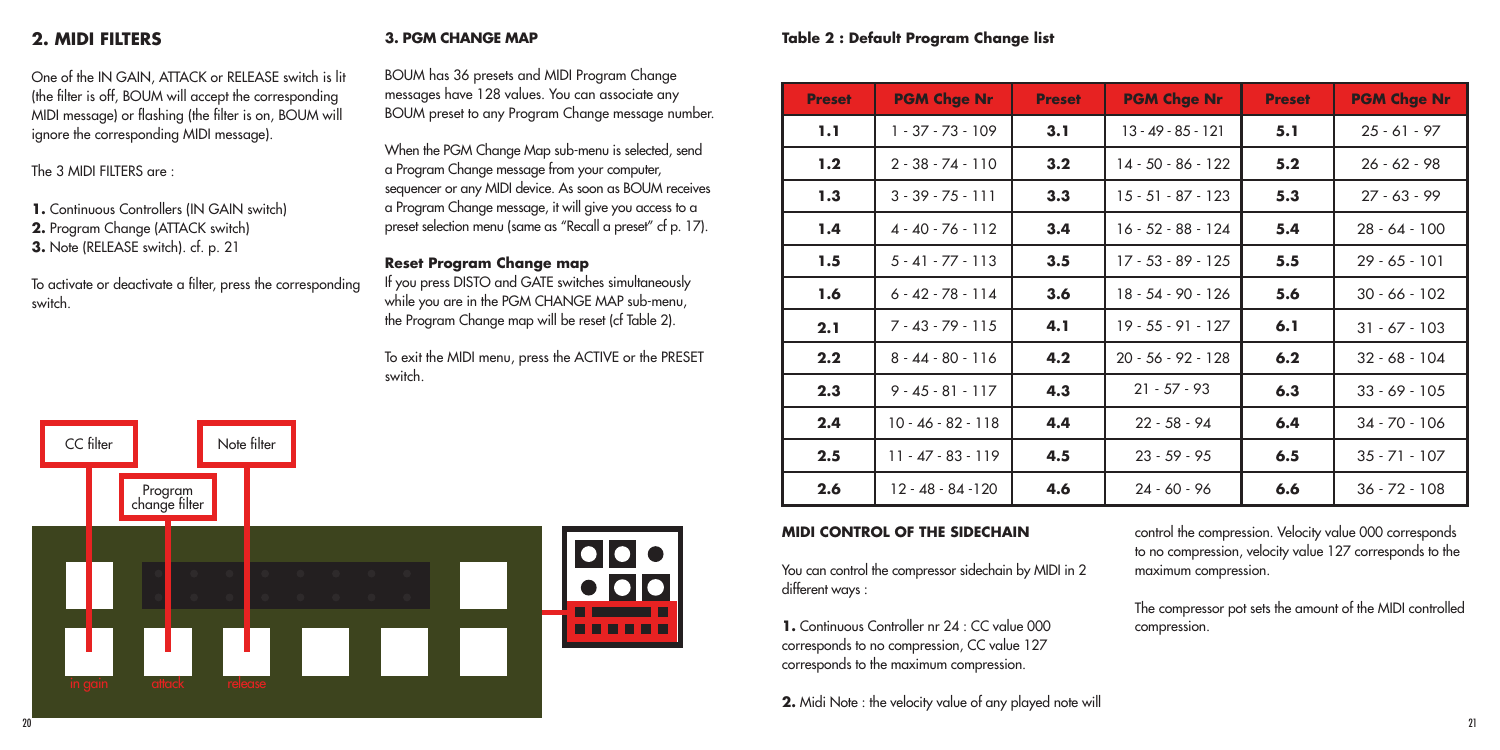## **2. MIDI FILTERS**

#### **3. PGM CHANGE MAP**

One of the IN GAIN, ATTACK or RELEASE switch is lit (the flter is off, BOUM will accept the corresponding MIDI message) or flashing (the filter is on, BOUM will ignore the corresponding MIDI message).

The 3 MIDI FILTERS are :

- **1.** Continuous Controllers (IN GAIN switch) **2.** Program Change (ATTACK switch)
- **3.** Note (RELEASE switch). cf. p. 21

To activate or deactivate a filter, press the corresponding switch.

BOUM has 36 presets and MIDI Program Change messages have 128 values. You can associate any BOUM preset to any Program Change message number.

When the PGM Change Map sub-menu is selected, send a Program Change message from your computer, sequencer or any MIDI device. As soon as BOUM receives a Program Change message, it will give you access to a preset selection menu (same as "Recall a preset" cf p. 17).

#### **Reset Program Change map**

If you press DISTO and GATE switches simultaneously while you are in the PGM CHANGE MAP sub-menu, the Program Change map will be reset (cf Table 2).

To exit the MIDI menu, press the ACTIVE or the PRESET switch.



## **Table 2 : Default Program Change list**

| <b>Preset</b> | <b>PGM Chge Nr</b>   | <b>Preset</b> | <b>PGM Chge Nr</b>   | <b>Preset</b> | <b>PGM Chge Nr</b> |
|---------------|----------------------|---------------|----------------------|---------------|--------------------|
| 1.1           | $1 - 37 - 73 - 109$  | 3.1           | $13 - 49 - 85 - 121$ | 5.1           | $25 - 61 - 97$     |
| 1.2           | $2 - 38 - 74 - 110$  | 3.2           | $14 - 50 - 86 - 122$ | 5.2           | $26 - 62 - 98$     |
| 1.3           | $3 - 39 - 75 - 111$  | 3.3           | $15 - 51 - 87 - 123$ | 5.3           | $27 - 63 - 99$     |
| 1.4           | $4 - 40 - 76 - 112$  | 3.4           | $16 - 52 - 88 - 124$ | 5.4           | $28 - 64 - 100$    |
| 1.5           | $5 - 41 - 77 - 113$  | 3.5           | $17 - 53 - 89 - 125$ | 5.5           | $29 - 65 - 101$    |
| 1.6           | $6 - 42 - 78 - 114$  | 3.6           | 18 - 54 - 90 - 126   | 5.6           | $30 - 66 - 102$    |
| 2.1           | $7 - 43 - 79 - 115$  | 4.1           | $19 - 55 - 91 - 127$ | 6.1           | $31 - 67 - 103$    |
| 2.2           | $8 - 44 - 80 - 116$  | 4.2           | $20 - 56 - 92 - 128$ | 6.2           | $32 - 68 - 104$    |
| 2.3           | $9 - 45 - 81 - 117$  | 4.3           | $21 - 57 - 93$       | 6.3           | $33 - 69 - 105$    |
| 2.4           | $10 - 46 - 82 - 118$ | 4.4           | $22 - 58 - 94$       | 6.4           | $34 - 70 - 106$    |
| 2.5           | $11 - 47 - 83 - 119$ | 4.5           | $23 - 59 - 95$       | 6.5           | $35 - 71 - 107$    |
| 2.6           | $12 - 48 - 84 - 120$ | 4.6           | $24 - 60 - 96$       | 6.6           | $36 - 72 - 108$    |

#### **MIDI CONTROL OF THE SIDECHAIN**

You can control the compressor sidechain by MIDI in 2 different ways :

**1.** Continuous Controller nr 24 : CC value 000 corresponds to no compression, CC value 127 corresponds to the maximum compression.

**2.** Midi Note : the velocity value of any played note will

control the compression. Velocity value 000 corresponds to no compression, velocity value 127 corresponds to the maximum compression.

The compressor pot sets the amount of the MIDI controlled compression.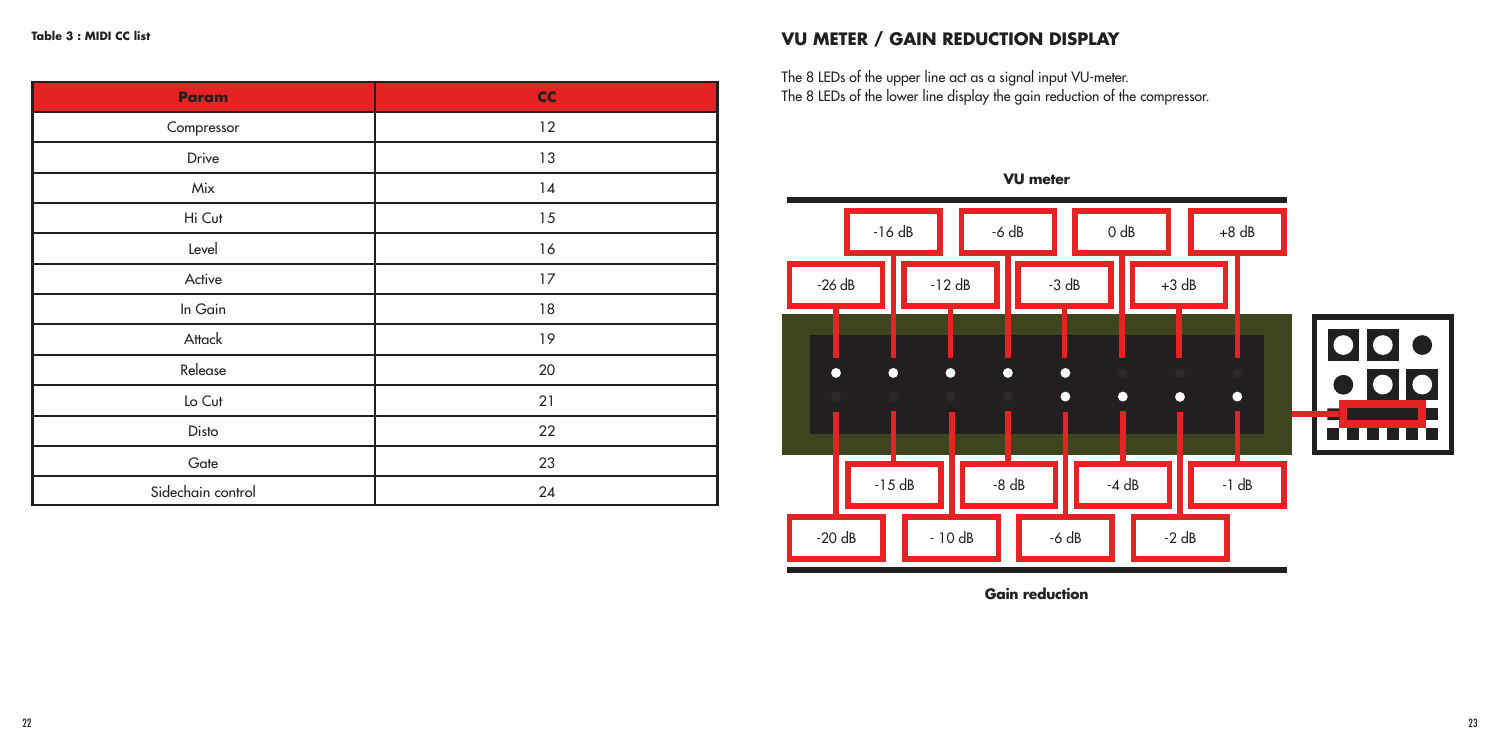| Param             | <b>CC</b> |
|-------------------|-----------|
| Compressor        | 12        |
| Drive             | $13\,$    |
| Mix               | 14        |
| Hi Cut            | $15$      |
| Level             | 16        |
| Active            | $17\,$    |
| In Gain           | $18\,$    |
| Attack            | 19        |
| Release           | 20        |
| Lo Cut            | 21        |
| Disto             | 22        |
| Gate              | 23        |
| Sidechain control | $24$      |

## **VU METER / GAIN REDUCTION DISPLAY**

The 8 LEDs of the upper line act as a signal input VU-meter. The 8 LEDs of the lower line display the gain reduction of the compressor.



**Gain reduction**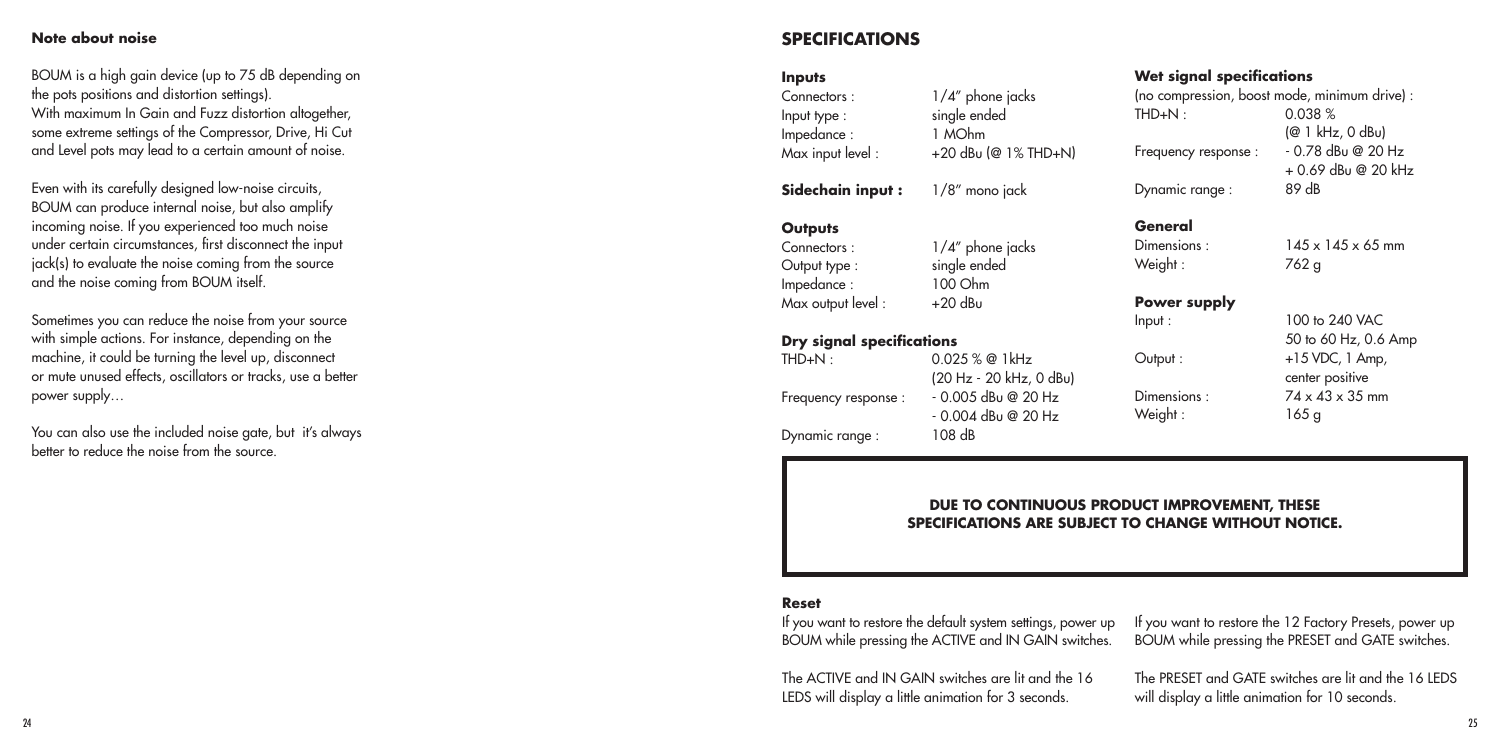#### **Note about noise**

BOUM is a high gain device (up to 75 dB depending on the pots positions and distortion settings). With maximum In Gain and Fuzz distortion altogether, some extreme settings of the Compressor, Drive, Hi Cut and Level pots may lead to a certain amount of noise.

Even with its carefully designed low-noise circuits, BOUM can produce internal noise, but also amplify incoming noise. If you experienced too much noise under certain circumstances, first disconnect the input jack(s) to evaluate the noise coming from the source and the noise coming from BOUM itself.

Sometimes you can reduce the noise from your source with simple actions. For instance, depending on the machine, it could be turning the level up, disconnect or mute unused effects, oscillators or tracks, use a better power supply…

You can also use the included noise gate, but it's always better to reduce the noise from the source.

## **SPECIFICATIONS**

# **Inputs**

Connectors : 1/4" phone jacks Input type : single ended Impedance : 1 MOhm  $Max input level : +20 dbu (@ 1% THD+N)$ 

**Sidechain input:** 1/8" mono jack

#### **Outputs**

Connectors : 1/4" phone jacks Output type : single ended Impedance : 100 Ohm  $Max$  output level :  $+20$  dBu

## **Dry signal specifcations**

 $THD+N: 0.025 %$  @ 1 kHz (20 Hz - 20 kHz, 0 dBu) Frequency response : - 0.005 dBu @ 20 Hz - 0.004 dBu @ 20 Hz Dynamic range : 108 dB

| Wet signal specifications                     |                    |  |
|-----------------------------------------------|--------------------|--|
| (no compression, boost mode, minimum drive) : |                    |  |
| $THD + N$ :                                   | 0.038%             |  |
|                                               | (@ 1 kHz, 0 dBu)   |  |
| Frequency response :                          | - 0.78 dBu @ 20 Hz |  |

 + 0.69 dBu @ 20 kHz Dynamic range : 89 dB

#### **General**

Dimensions  $145 \times 145 \times 65$  mm Weight :  $762 g$ 

#### **Power supply**

Input : 100 to 240 VAC 50 to 60 Hz, 0.6 Amp Output :  $+15 \text{ VDC}, 1 \text{ Amp},$  center positive Dimensions :  $74 \times 43 \times 35$  mm Weight :  $165 g$ 

#### **DUE TO CONTINUOUS PRODUCT IMPROVEMENT, THESE SPECIFICATIONS ARE SUBJECT TO CHANGE WITHOUT NOTICE.**

#### **Reset**

If you want to restore the default system settings, power up BOUM while pressing the ACTIVE and IN GAIN switches.

The ACTIVE and IN GAIN switches are lit and the 16 LEDS will display a little animation for 3 seconds.

If you want to restore the 12 Factory Presets, power up BOUM while pressing the PRESET and GATE switches.

The PRESET and GATE switches are lit and the 16 LEDS will display a little animation for 10 seconds.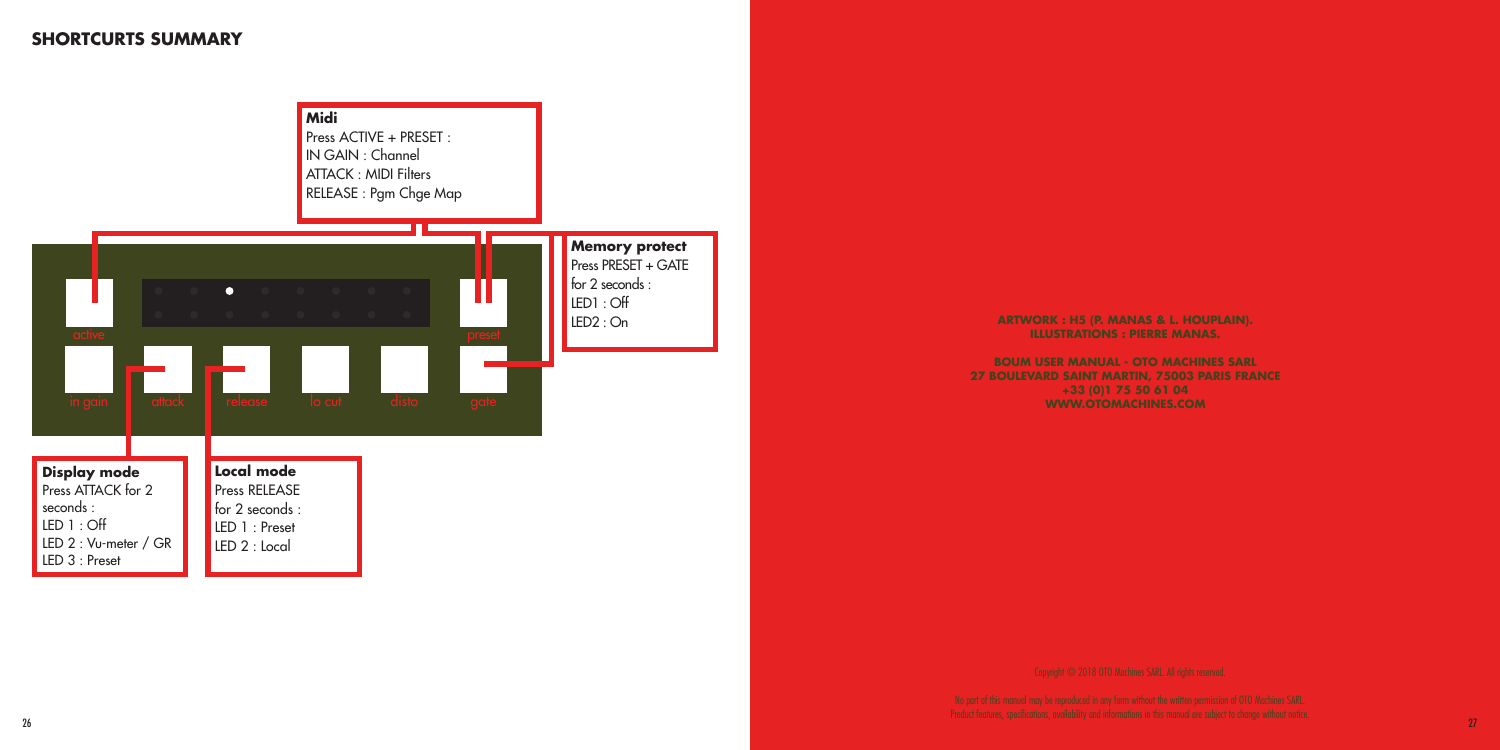#### **SHORTCURTS SUMMARY**



#### **ARTWORK : H5 (P. MANAS & L. HOUPLAIN). ILLUSTRATIONS : PIERRE MANAS.**

**BOUM USER MANUAL - OTO MACHINES SARL 27 BOULEVARD SAINT MARTIN, 75003 PARIS FRANCE +33 (0)1 75 50 61 04**

 $26$